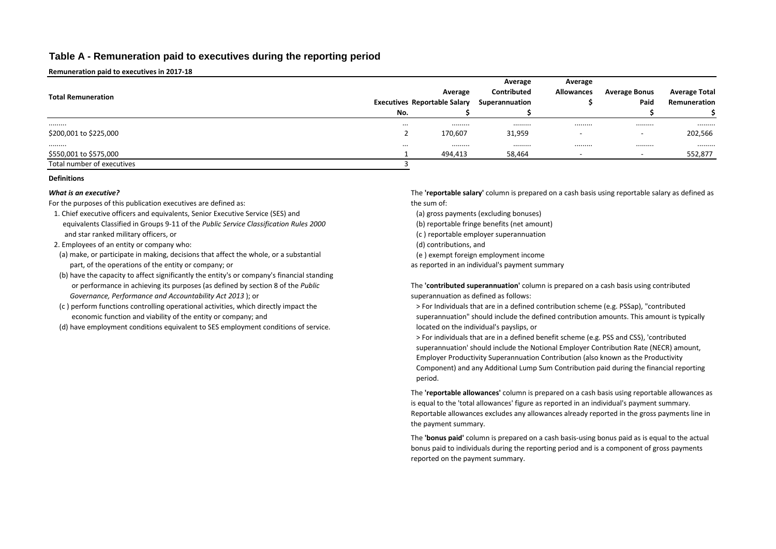## **Table A - Remuneration paid to executives during the reporting period**

**Remuneration paid to executives in 2017-18**

|                            | Average                             |         |                    |                   |                          |                      |
|----------------------------|-------------------------------------|---------|--------------------|-------------------|--------------------------|----------------------|
| <b>Total Remuneration</b>  |                                     | Average | <b>Contributed</b> | <b>Allowances</b> | <b>Average Bonus</b>     | <b>Average Total</b> |
|                            | <b>Executives Reportable Salary</b> |         | Superannuation     |                   | Paid                     | Remuneration         |
|                            | No.                                 |         |                    |                   |                          |                      |
|                            | $\cdots$                            | .       | .                  |                   |                          |                      |
| \$200,001 to \$225,000     |                                     | 170,607 | 31,959             |                   | $\overline{\phantom{0}}$ | 202,566              |
|                            | $\cdots$                            | .       | .                  |                   |                          | .                    |
| \$550,001 to \$575,000     |                                     | 494,413 | 58,464             |                   | $\overline{\phantom{0}}$ | 552,877              |
| Total number of executives |                                     |         |                    |                   |                          |                      |

### **Definitions**

### *What is an executive?*

For the purposes of this publication executives are defined as:

- 1. Chief executive officers and equivalents, Senior Executive Service (SES) and equivalents Classified in Groups 9-11 of the *Public Service Classification Rules 2000* and star ranked military officers, or
- 2. Employees of an entity or company who:
- (a) make, or participate in making, decisions that affect the whole, or a substantial part, of the operations of the entity or company; or as as reported in an individual's payment summary
- (b) have the capacity to affect significantly the entity's or company's financial standing or performance in achieving its purposes (as defined by section 8 of the *Public Governance, Performance and Accountability Act 2013* ); or
- (c ) perform functions controlling operational activities, which directly impact the economic function and viability of the entity or company; and
- (d) have employment conditions equivalent to SES employment conditions of service.

The **'reportable salary'** column is prepared on a cash basis using reportable salary as defined as the sum of:

- (a) gross payments (excluding bonuses)
- (b) reportable fringe benefits (net amount)
- (c ) reportable employer superannuation
- (d) contributions, and
- (e ) exempt foreign employment income

The **'contributed superannuation'** column is prepared on a cash basis using contributed superannuation as defined as follows:

> For Individuals that are in a defined contribution scheme (e.g. PSSap), "contributed superannuation" should include the defined contribution amounts. This amount is typically located on the individual's payslips, or

> For individuals that are in a defined benefit scheme (e.g. PSS and CSS), 'contributed superannuation' should include the Notional Employer Contribution Rate (NECR) amount, Employer Productivity Superannuation Contribution (also known as the Productivity Component) and any Additional Lump Sum Contribution paid during the financial reporting period.

The **'reportable allowances'** column is prepared on a cash basis using reportable allowances as is equal to the 'total allowances' figure as reported in an individual's payment summary. Reportable allowances excludes any allowances already reported in the gross payments line in the payment summary.

The **'bonus paid'** column is prepared on a cash basis-using bonus paid as is equal to the actual bonus paid to individuals during the reporting period and is a component of gross payments reported on the payment summary.